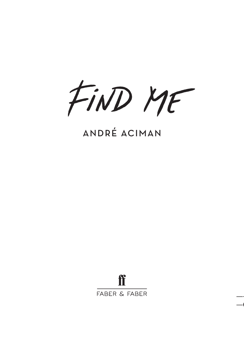FIND MF



—-1  $\overline{\phantom{0}}$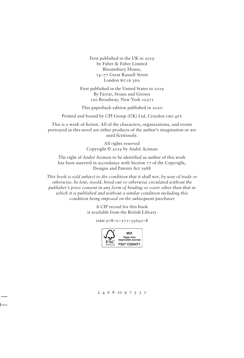First published in the UK in 2019 by Faber & Faber Limited Bloomsbury House, 74–77 Great Russell Street London WCIB 3DA

First published in the United States in 2019 By Farrar, Straus and Giroux 120 Broadway, New York 10271

This paperback edition published in 2020

Printed and bound by CPI Group (UK) Ltd, Croydon CRO 4YY

This is a work of fiction. All of the characters, organizations, and events portrayed in this novel are either products of the author's imagination or are used fictitiously.

> All rights reserved Copyright © 2019 by André Aciman

The right of André Aciman to be identified as author of this work has been asserted in accordance with Section 77 of the Copyright, Designs and Patents Act 1988

*This book is sold subject to the condition that it shall not, by way of trade or otherwise, be lent, resold, hired out or otherwise circulated without the publisher's prior consent in any form of binding or cover other than that in which it is published and without a similar condition including this condition being imposed on the subsequent purchaser*

> A CIP record for this book is available from the British Library

> > ISBN 978-0-571-35650-8



2 4 6 8 10 9 7 5 3 1

 $\overline{\phantom{0}}$  $\overline{\phantom{0}}$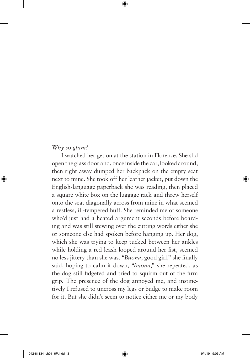# *Why so glum?*

⊕

I watched her get on at the station in Florence. She slid open the glass door and, once inside the car, looked around, then right away dumped her backpack on the empty seat next to mine. She took off her leather jacket, put down the English-language paperback she was reading, then placed a square white box on the luggage rack and threw herself onto the seat diagonally across from mine in what seemed a restless, ill-tempered huff. She reminded me of someone who'd just had a heated argument seconds before boarding and was still stewing over the cutting words either she or someone else had spoken before hanging up. Her dog, which she was trying to keep tucked between her ankles while holding a red leash looped around her fist, seemed no less jittery than she was. "*Buona*, good girl," she finally said, hoping to calm it down, "*buona*," she repeated, as the dog still fidgeted and tried to squirm out of the firm grip. The presence of the dog annoyed me, and instinctively I refused to uncross my legs or budge to make room for it. But she didn't seem to notice either me or my body

 $\bigoplus$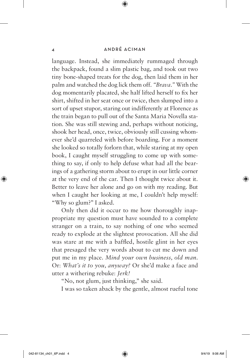$\bigoplus$ 

language. Instead, she immediately rummaged through the backpack, found a slim plastic bag, and took out two tiny bone-shaped treats for the dog, then laid them in her palm and watched the dog lick them off. *"Brava."* With the dog momentarily placated, she half lifted herself to fix her shirt, shifted in her seat once or twice, then slumped into a sort of upset stupor, staring out indifferently at Florence as the train began to pull out of the Santa Maria Novella station. She was still stewing and, perhaps without noticing, shook her head, once, twice, obviously still cussing whomever she'd quarreled with before boarding. For a moment she looked so totally forlorn that, while staring at my open book, I caught myself struggling to come up with something to say, if only to help defuse what had all the bearings of a gathering storm about to erupt in our little corner at the very end of the car. Then I thought twice about it. Better to leave her alone and go on with my reading. But when I caught her looking at me, I couldn't help myself: "Why so glum?" I asked.

Only then did it occur to me how thoroughly inappropriate my question must have sounded to a complete stranger on a train, to say nothing of one who seemed ready to explode at the slightest provocation. All she did was stare at me with a baffled, hostile glint in her eyes that presaged the very words about to cut me down and put me in my place. *Mind your own business, old man*. Or: *What's it to you, anyway?* Or she'd make a face and utter a withering rebuke: *Jerk!*

"No, not glum, just thinking," she said.

I was so taken aback by the gentle, almost rueful tone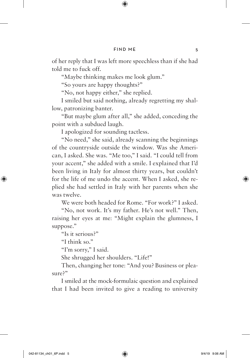$\bigoplus$ 

of her reply that I was left more speechless than if she had told me to fuck off.

"Maybe thinking makes me look glum."

"So yours are happy thoughts?"

"No, not happy either," she replied.

I smiled but said nothing, already regretting my shallow, patronizing banter.

"But maybe glum after all," she added, conceding the point with a subdued laugh.

I apologized for sounding tactless.

"No need," she said, already scanning the beginnings of the countryside outside the window. Was she American, I asked. She was. "Me too," I said. "I could tell from your accent," she added with a smile. I explained that I'd been living in Italy for almost thirty years, but couldn't for the life of me undo the accent. When I asked, she replied she had settled in Italy with her parents when she was twelve.

We were both headed for Rome. "For work?" I asked.

"No, not work. It's my father. He's not well." Then, raising her eyes at me: "Might explain the glumness, I suppose."

"Is it serious?"

"I think so."

"I'm sorry," I said.

She shrugged her shoulders. "Life!"

Then, changing her tone: "And you? Business or pleasure?"

I smiled at the mock-formulaic question and explained that I had been invited to give a reading to university

⊕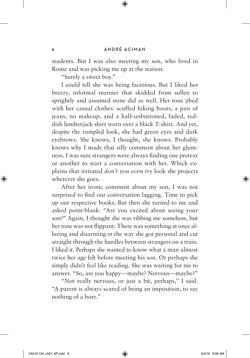$\bigoplus$ 

students. But I was also meeting my son, who lived in Rome and was picking me up at the station.

"Surely a sweet boy."

I could tell she was being facetious. But I liked her breezy, informal manner that skidded from sullen to sprightly and assumed mine did as well. Her tone jibed with her casual clothes: scuffed hiking boots, a pair of jeans, no makeup, and a half-unbuttoned, faded, reddish lumberjack shirt worn over a black T-shirt. And yet, despite the rumpled look, she had green eyes and dark eyebrows. She knows, I thought, she knows. Probably knows why I made that silly comment about her glumness. I was sure strangers were always finding one pretext or another to start a conversation with her. Which explains that irritated *don't you even try* look she projects wherever she goes.

After her ironic comment about my son, I was not surprised to find our conversation lagging. Time to pick up our respective books. But then she turned to me and asked point-blank: "Are you excited about seeing your son?" Again, I thought she was ribbing me somehow, but her tone was not flippant. There was something at once alluring and disarming in the way she got personal and cut straight through the hurdles between strangers on a train. I liked it. Perhaps she wanted to know what a man almost twice her age felt before meeting his son. Or perhaps she simply didn't feel like reading. She was waiting for me to answer. "So, are you happy—maybe? Nervous—maybe?"

"Not really nervous, or just a bit, perhaps," I said. "A parent is always scared of being an imposition, to say nothing of a bore."

⊕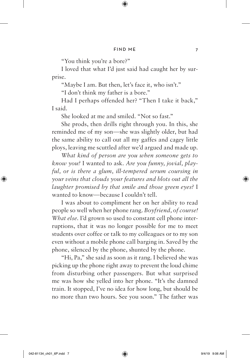$\bigoplus$ 

"You think you're a bore?"

I loved that what I'd just said had caught her by surprise.

"Maybe I am. But then, let's face it, who isn't."

"I don't think my father is a bore."

Had I perhaps offended her? "Then I take it back," I said.

She looked at me and smiled. "Not so fast."

She prods, then drills right through you. In this, she reminded me of my son—she was slightly older, but had the same ability to call out all my gaffes and cagey little ploys, leaving me scuttled after we'd argued and made up.

*What kind of person are you when someone gets to know you?* I wanted to ask. *Are you funny, jovial, play*ful, or is there a glum, ill-tempered serum coursing in *your veins that clouds your features and blots out all the laughter promised by that smile and those green eyes?* I wanted to know—because I couldn't tell.

I was about to compliment her on her ability to read people so well when her phone rang. *Boyfriend, of course! What else*. I'd grown so used to constant cell phone interruptions, that it was no longer possible for me to meet students over coffee or talk to my colleagues or to my son even without a mobile phone call barging in. Saved by the phone, silenced by the phone, shunted by the phone.

"Hi, Pa," she said as soon as it rang. I believed she was picking up the phone right away to prevent the loud chime from disturbing other passengers. But what surprised me was how she yelled into her phone. "It's the damned train. It stopped, I've no idea for how long, but should be no more than two hours. See you soon." The father was

⊕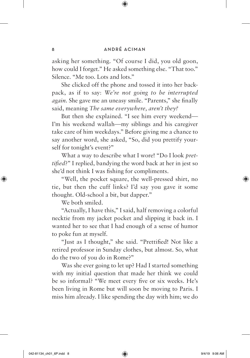$\bigoplus$ 

asking her something. "Of course I did, you old goon, how could I forget." He asked something else. "That too." Silence. "Me too. Lots and lots."

She clicked off the phone and tossed it into her backpack, as if to say: *We're not going to be interrupted again*. She gave me an uneasy smile. "Parents," she finally said, meaning *The same everywhere, aren't they?*

But then she explained. "I see him every weekend— I'm his weekend wallah—my siblings and his caregiver take care of him weekdays." Before giving me a chance to say another word, she asked, "So, did you prettify yourself for tonight's event?"

What a way to describe what I wore! "Do I look *prettified*?" I replied, bandying the word back at her in jest so she'd not think I was fishing for compliments.

"Well, the pocket square, the well-pressed shirt, no tie, but then the cuff links? I'd say you gave it some thought. Old-school a bit, but dapper."

We both smiled.

"Actually, I have this," I said, half removing a colorful necktie from my jacket pocket and slipping it back in. I wanted her to see that I had enough of a sense of humor to poke fun at myself.

"Just as I thought," she said. "Prettified! Not like a retired professor in Sunday clothes, but almost. So, what do the two of you do in Rome?"

Was she ever going to let up? Had I started something with my initial question that made her think we could be so informal? "We meet every five or six weeks. He's been living in Rome but will soon be moving to Paris. I miss him already. I like spending the day with him; we do

⊕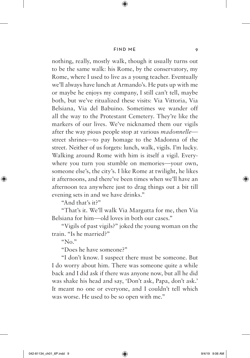$\bigoplus$ 

nothing, really, mostly walk, though it usually turns out to be the same walk: his Rome, by the conservatory, my Rome, where I used to live as a young teacher. Eventually we'll always have lunch at Armando's. He puts up with me or maybe he enjoys my company, I still can't tell, maybe both, but we've ritualized these visits: Via Vittoria, Via Belsiana, Via del Babuino. Sometimes we wander off all the way to the Protestant Cemetery. They're like the markers of our lives. We've nicknamed them our vigils after the way pious people stop at various *madonnelle* street shrines—to pay homage to the Madonna of the street. Neither of us forgets: lunch, walk, vigils. I'm lucky. Walking around Rome with him is itself a vigil. Everywhere you turn you stumble on memories—your own, someone else's, the city's. I like Rome at twilight, he likes it afternoons, and there've been times when we'll have an afternoon tea anywhere just to drag things out a bit till evening sets in and we have drinks."

"And that's it?"

"That's it. We'll walk Via Margutta for me, then Via Belsiana for him—old loves in both our cases."

"Vigils of past vigils?" joked the young woman on the train. "Is he married?"

" $No.$ "

⊕

"Does he have someone?"

"I don't know. I suspect there must be someone. But I do worry about him. There was someone quite a while back and I did ask if there was anyone now, but all he did was shake his head and say, 'Don't ask, Papa, don't ask.' It meant no one or everyone, and I couldn't tell which was worse. He used to be so open with me."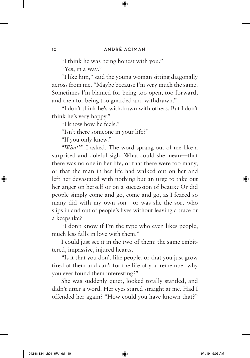$\bigoplus$ 

"I think he was being honest with you."

"Yes, in a way."

"I like him," said the young woman sitting diagonally across from me. "Maybe because I'm very much the same. Sometimes I'm blamed for being too open, too forward, and then for being too guarded and withdrawn."

"I don't think he's withdrawn with others. But I don't think he's very happy."

"I know how he feels."

"Isn't there someone in your life?"

"If you only knew."

"*What?*" I asked. The word sprang out of me like a surprised and doleful sigh. What could she mean—that there was no one in her life, or that there were too many, or that the man in her life had walked out on her and left her devastated with nothing but an urge to take out her anger on herself or on a succession of beaux? Or did people simply come and go, come and go, as I feared so many did with my own son—or was she the sort who slips in and out of people's lives without leaving a trace or a keepsake?

"I don't know if I'm the type who even likes people, much less falls in love with them."

I could just see it in the two of them: the same embittered, impassive, injured hearts.

"Is it that you don't like people, or that you just grow tired of them and can't for the life of you remember why you ever found them interesting?"

She was suddenly quiet, looked totally startled, and didn't utter a word. Her eyes stared straight at me. Had I offended her again? "How could you have known that?"

⊕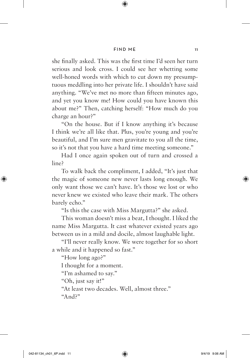$\bigoplus$ 

she finally asked. This was the first time I'd seen her turn serious and look cross. I could see her whetting some well-honed words with which to cut down my presumptuous meddling into her private life. I shouldn't have said anything. "We've met no more than fifteen minutes ago, and yet you know me! How could you have known this about me?" Then, catching herself: "How much do you charge an hour?"

"On the house. But if I know anything it's because I think we're all like that. Plus, you're young and you're beautiful, and I'm sure men gravitate to you all the time, so it's not that you have a hard time meeting someone."

Had I once again spoken out of turn and crossed a line?

To walk back the compliment, I added, "It's just that the magic of someone new never lasts long enough. We only want those we can't have. It's those we lost or who never knew we existed who leave their mark. The others barely echo."

"Is this the case with Miss Margutta?" she asked.

This woman doesn't miss a beat, I thought. I liked the name Miss Margutta. It cast whatever existed years ago between us in a mild and docile, almost laughable light.

"I'll never really know. We were together for so short a while and it happened so fast."

"How long ago?"

I thought for a moment.

"I'm ashamed to say."

"Oh, just say it!"

"At least two decades. Well, almost three."

"And?"

⊕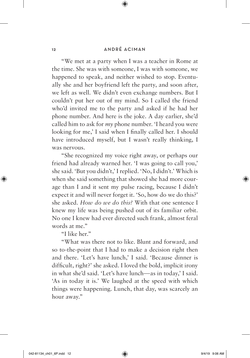$\bigoplus$ 

"We met at a party when I was a teacher in Rome at the time. She was with someone, I was with someone, we happened to speak, and neither wished to stop. Eventually she and her boyfriend left the party, and soon after, we left as well. We didn't even exchange numbers. But I couldn't put her out of my mind. So I called the friend who'd invited me to the party and asked if he had her phone number. And here is the joke. A day earlier, she'd called him to ask for *my* phone number. 'I heard you were looking for me,' I said when I finally called her. I should have introduced myself, but I wasn't really thinking, I was nervous.

"She recognized my voice right away, or perhaps our friend had already warned her. 'I was going to call you,' she said. 'But you didn't,' I replied. 'No, I didn't.' Which is when she said something that showed she had more courage than I and it sent my pulse racing, because I didn't expect it and will never forget it. 'So, how do we do this?' she asked. *How do we do this?* With that one sentence I knew my life was being pushed out of its familiar orbit. No one I knew had ever directed such frank, almost feral words at me."

"I like her."

"What was there not to like. Blunt and forward, and so to-the-point that I had to make a decision right then and there. 'Let's have lunch,' I said. 'Because dinner is difficult, right?' she asked. I loved the bold, implicit irony in what she'd said. 'Let's have lunch—as in today,' I said. 'As in today it is.' We laughed at the speed with which things were happening. Lunch, that day, was scarcely an hour away."

⊕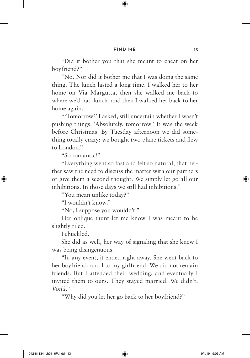$\bigoplus$ 

"Did it bother you that she meant to cheat on her boyfriend?"

"No. Nor did it bother me that I was doing the same thing. The lunch lasted a long time. I walked her to her home on Via Margutta, then she walked me back to where we'd had lunch, and then I walked her back to her home again.

"'Tomorrow?' I asked, still uncertain whether I wasn't pushing things. 'Absolutely, tomorrow.' It was the week before Christmas. By Tuesday afternoon we did something totally crazy: we bought two plane tickets and flew to London."

"So romantic!"

"Everything went so fast and felt so natural, that neither saw the need to discuss the matter with our partners or give them a second thought. We simply let go all our inhibitions. In those days we still had inhibitions."

"You mean unlike today?"

"I wouldn't know."

"No, I suppose you wouldn't."

Her oblique taunt let me know I was meant to be slightly riled.

I chuckled.

She did as well, her way of signaling that she knew I was being disingenuous.

"In any event, it ended right away. She went back to her boyfriend, and I to my girlfriend. We did not remain friends. But I attended their wedding, and eventually I invited them to ours. They stayed married. We didn't. *Voilà*."

"Why did you let her go back to her boyfriend?"

⊕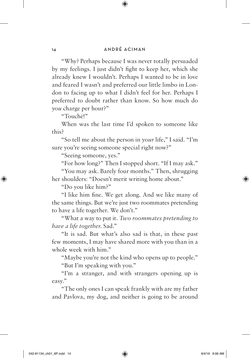$\bigoplus$ 

"Why? Perhaps because I was never totally persuaded by my feelings. I just didn't fight to keep her, which she already knew I wouldn't. Perhaps I wanted to be in love and feared I wasn't and preferred our little limbo in London to facing up to what I didn't feel for her. Perhaps I preferred to doubt rather than know. So how much do *you* charge per hour?"

"Touché!"

When was the last time I'd spoken to someone like this?

"So tell me about the person in *your* life," I said. "I'm sure you're seeing someone special right now?"

"Seeing someone, yes."

"For how long?" Then I stopped short. "If I may ask."

"You may ask. Barely four months." Then, shrugging her shoulders: "Doesn't merit writing home about."

"Do you like him?"

"I like him fine. We get along. And we like many of the same things. But we're just two roommates pretending to have a life together. We don't."

"What a way to put it. *Two roommates pretending to have a life together*. Sad."

"It is sad. But what's also sad is that, in these past few moments, I may have shared more with you than in a whole week with him."

"Maybe you're not the kind who opens up to people." "But I'm speaking with you."

"I'm a stranger, and with strangers opening up is easy."

"The only ones I can speak frankly with are my father and Pavlova, my dog, and neither is going to be around

⊕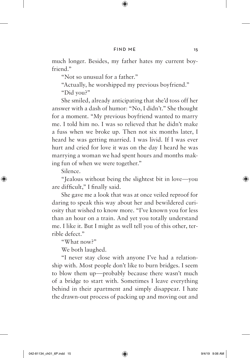$\bigoplus$ 

much longer. Besides, my father hates my current boyfriend."

"Not so unusual for a father."

"Actually, he worshipped my previous boyfriend."

"Did you?"

She smiled, already anticipating that she'd toss off her answer with a dash of humor: "No, I didn't." She thought for a moment. "My previous boyfriend wanted to marry me. I told him no. I was so relieved that he didn't make a fuss when we broke up. Then not six months later, I heard he was getting married. I was livid. If I was ever hurt and cried for love it was on the day I heard he was marrying a woman we had spent hours and months making fun of when we were together."

Silence.

⊕

"Jealous without being the slightest bit in love—you are difficult," I finally said.

She gave me a look that was at once veiled reproof for daring to speak this way about her and bewildered curiosity that wished to know more. "I've known you for less than an hour on a train. And yet you totally understand me. I like it. But I might as well tell you of this other, terrible defect."

"What now?"

We both laughed.

"I never stay close with anyone I've had a relationship with. Most people don't like to burn bridges. I seem to blow them up—probably because there wasn't much of a bridge to start with. Sometimes I leave everything behind in their apartment and simply disappear. I hate the drawn-out process of packing up and moving out and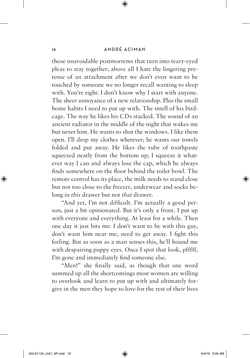$\bigoplus$ 

those unavoidable postmortems that turn into teary-eyed pleas to stay together; above all I hate the lingering pretense of an attachment after we don't even want to be touched by someone we no longer recall wanting to sleep with. You're right: I don't know why I start with anyone. The sheer annoyance of a new relationship. Plus the small home habits I need to put up with. The smell of his birdcage. The way he likes his CDs stacked. The sound of an ancient radiator in the middle of the night that wakes me but never him. He wants to shut the windows. I like them open. I'll drop my clothes wherever; he wants our towels folded and put away. He likes the tube of toothpaste squeezed neatly from the bottom up; I squeeze it whatever way I can and always lose the cap, which he always finds somewhere on the floor behind the toilet bowl. The remote control has its place, the milk needs to stand close but not too close to the freezer, underwear and socks belong in *this* drawer but not *that* drawer.

"And yet, I'm not difficult. I'm actually a good person, just a bit opinionated. But it's only a front. I put up with everyone and everything. At least for a while. Then one day it just hits me: I don't want to be with this guy, don't want him near me, need to get away. I fight this feeling. But as soon as a man senses this, he'll hound me with despairing puppy eyes. Once I spot that look, pfffff, I'm gone and immediately find someone else.

"Men!" she finally said, as though that one word summed up all the shortcomings most women are willing to overlook and learn to put up with and ultimately forgive in the men they hope to love for the rest of their lives